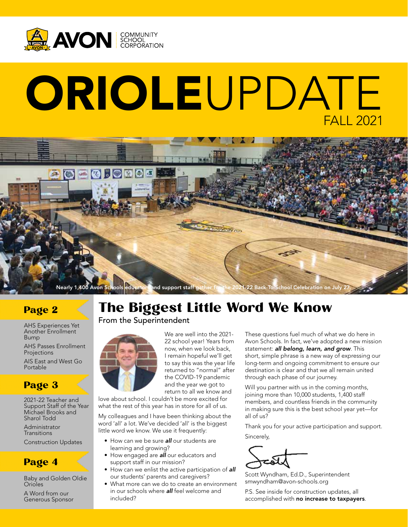

# ORIOLEUPDATE FALL 2021



#### Page 2

AHS Experiences Yet Another Enrollment Bump

AHS Passes Enrollment Projections

AIS East and West Go Portable

## Page 3

2021-22 Teacher and Support Staff of the Year Michael Brooks and Sharol Todd

Administrator **Transitions** 

Construction Updates

#### Page 4

Baby and Golden Oldie Orioles

A Word from our Generous Sponsor

## The Biggest Little Word We Know

#### From the Superintendent



We are well into the 2021 return to all we know and

love about school. I couldn't be more excited for what the rest of this year has in store for all of us.

My colleagues and I have been thinking about the word 'all' a lot. We've decided 'all' is the biggest little word we know. We use it frequently:

- How can we be sure *all* our students are learning and growing?
- How engaged are *all* our educators and support staff in our mission?
- How can we enlist the active participation of *all* our students' parents and caregivers?
- What more can we do to create an environment in our schools where *all* feel welcome and included?

These questions fuel much of what we do here in Avon Schools. In fact, we've adopted a new mission statement: *all belong, learn, and grow*. This short, simple phrase is a new way of expressing our long-term and ongoing commitment to ensure our destination is clear and that we all remain united through each phase of our journey.

Will you partner with us in the coming months, joining more than 10,000 students, 1,400 staff members, and countless friends in the community in making sure this is the best school year yet—for all of us?

Thank you for your active participation and support. Sincerely,

Scott Wyndham, Ed.D., Superintendent smwyndham@avon-schools.org

P.S. See inside for construction updates, all accomplished with no increase to taxpayers.

22 school year! Years from now, when we look back, I remain hopeful we'll get to say this was the year life returned to "normal" after the COVID-19 pandemic and the year we got to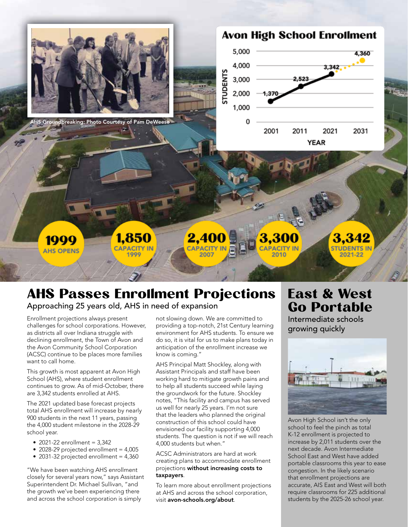

Groundbreaking: Photo Courtesy of Pam DeWeese

## **Avon High School Enrollment**



# 2,40

2010

1999 **AHS OPENS** 

3,342 **STUDENTS IN** 

# AHS Passes Enrollment Projections

Approaching 25 years old, AHS in need of expansion

1,850

**CAPACITY II** 

1999

Enrollment projections always present challenges for school corporations. However, as districts all over Indiana struggle with declining enrollment, the Town of Avon and the Avon Community School Corporation (ACSC) continue to be places more families want to call home.

This growth is most apparent at Avon High School (AHS), where student enrollment continues to grow. As of mid-October, there are 3,342 students enrolled at AHS.

The 2021 updated base forecast projects total AHS enrollment will increase by nearly 900 students in the next 11 years, passing the 4,000 student milestone in the 2028-29 school year.

- 2021-22 enrollment =  $3,342$
- 2028-29 projected enrollment =  $4,005$
- 2031-32 projected enrollment =  $4,360$

"We have been watching AHS enrollment closely for several years now," says Assistant Superintendent Dr. Michael Sullivan, "and the growth we've been experiencing there and across the school corporation is simply

not slowing down. We are committed to providing a top-notch, 21st Century learning environment for AHS students. To ensure we do so, it is vital for us to make plans today in anticipation of the enrollment increase we know is coming."

AHS Principal Matt Shockley, along with Assistant Principals and staff have been working hard to mitigate growth pains and to help all students succeed while laying the groundwork for the future. Shockley notes, "This facility and campus has served us well for nearly 25 years. I'm not sure that the leaders who planned the original construction of this school could have envisioned our facility supporting 4,000 students. The question is not if we will reach 4,000 students but when."

ACSC Administrators are hard at work creating plans to accommodate enrollment projections without increasing costs to taxpayers.

To learn more about enrollment projections at AHS and across the school corporation, visit avon-schools.org/about.

## East & West Go Portable

Intermediate schools growing quickly



Avon High School isn't the only school to feel the pinch as total K-12 enrollment is projected to increase by 2,011 students over the next decade. Avon Intermediate School East and West have added portable classrooms this year to ease congestion. In the likely scenario that enrollment projections are accurate, AIS East and West will both require classrooms for 225 additional students by the 2025-26 school year.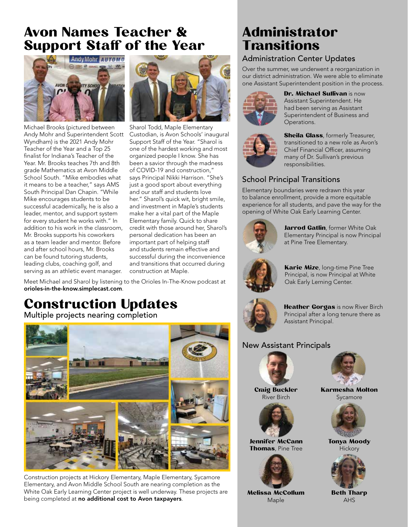## Avon Names Teacher & Support Staff of the Year



Michael Brooks (pictured between Andy Mohr and Superintendent Scott Wyndham) is the 2021 Andy Mohr Teacher of the Year and a Top 25 finalist for Indiana's Teacher of the Year. Mr. Brooks teaches 7th and 8th grade Mathematics at Avon Middle School South. "Mike embodies what it means to be a teacher," says AMS South Principal Dan Chapin. "While Mike encourages students to be successful academically, he is also a leader, mentor, and support system for every student he works with." In addition to his work in the classroom, Mr. Brooks supports his coworkers as a team leader and mentor. Before and after school hours, Mr. Brooks can be found tutoring students, leading clubs, coaching golf, and serving as an athletic event manager.



Sharol Todd, Maple Elementary Custodian, is Avon Schools' inaugural Support Staff of the Year. "Sharol is one of the hardest working and most organized people I know. She has been a savior through the madness of COVID-19 and construction," says Principal Nikki Harrison. "She's just a good sport about everything and our staff and students love her." Sharol's quick wit, bright smile, and investment in Maple's students make her a vital part of the Maple Elementary family. Quick to share credit with those around her, Sharol's personal dedication has been an important part of helping staff and students remain effective and successful during the inconvenience and transitions that occurred during construction at Maple.

Meet Michael and Sharol by listening to the Orioles In-The-Know podcast at orioles-in-the-know.simplecast.com.

## Construction Updates

Multiple projects nearing completion



Construction projects at Hickory Elementary, Maple Elementary, Sycamore Elementary, and Avon Middle School South are nearing completion as the White Oak Early Learning Center project is well underway. These projects are being completed at no additional cost to Avon taxpayers.

## Administrator **Transitions**

#### Administration Center Updates

Over the summer, we underwent a reorganization in our district administration. We were able to eliminate one Assistant Superintendent position in the process.



Dr. Michael Sullivan is now Assistant Superintendent. He had been serving as Assistant Superintendent of Business and Operations.



**Sheila Glass**, formerly Treasurer, transitioned to a new role as Avon's Chief Financial Officer, assuming many of Dr. Sullivan's previous responsibilities.

#### School Principal Transitions

Elementary boundaries were redrawn this year to balance enrollment, provide a more equitable experience for all students, and pave the way for the opening of White Oak Early Learning Center.



Jarrod Gatlin, former White Oak Elementary Principal is now Principal at Pine Tree Elementary.



Karie Mize, long-time Pine Tree Principal, is now Principal at White Oak Early Lerning Center.



Heather Gorgas is now River Birch Principal after a long tenure there as Assistant Principal.

#### New Assistant Principals



Craig Buckler River Birch



Jennifer McCann **Thomas**, Pine Tree



Melissa McCollum Maple



Karmesha Molton Sycamore



Tonya Moody **Hickory** 



Beth Tharp AHS